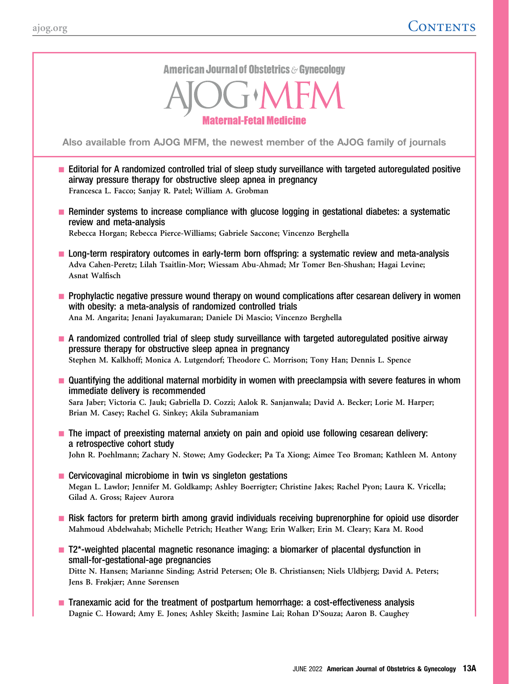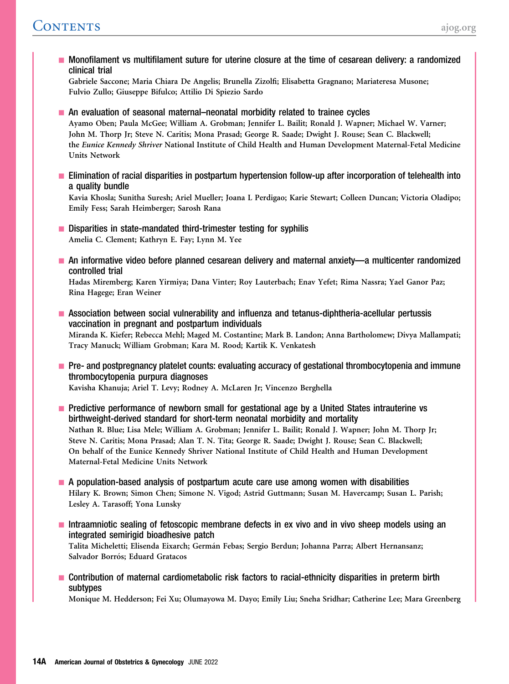**-** Monofilament vs multifilament suture for uterine closure at the time of cesarean delivery: a randomized clinical trial Gabriele Saccone; Maria Chiara De Angelis; Brunella Zizolfi; Elisabetta Gragnano; Mariateresa Musone; Fulvio Zullo; Giuseppe Bifulco; Attilio Di Spiezio Sardo ■ An evaluation of seasonal maternal–neonatal morbidity related to trainee cycles Ayamo Oben; Paula McGee; William A. Grobman; Jennifer L. Bailit; Ronald J. Wapner; Michael W. Varner; John M. Thorp Jr; Steve N. Caritis; Mona Prasad; George R. Saade; Dwight J. Rouse; Sean C. Blackwell; the Eunice Kennedy Shriver National Institute of Child Health and Human Development Maternal-Fetal Medicine Units Network **Elimination of racial disparities in postpartum hypertension follow-up after incorporation of telehealth into** a quality bundle Kavia Khosla; Sunitha Suresh; Ariel Mueller; Joana L Perdigao; Karie Stewart; Colleen Duncan; Victoria Oladipo; Emily Fess; Sarah Heimberger; Sarosh Rana  $\blacksquare$  Disparities in state-mandated third-trimester testing for syphilis Amelia C. Clement; Kathryn E. Fay; Lynn M. Yee - An informative video before planned cesarean delivery and maternal anxiety—a multicenter randomized controlled trial Hadas Miremberg; Karen Yirmiya; Dana Vinter; Roy Lauterbach; Enav Yefet; Rima Nassra; Yael Ganor Paz; Rina Hagege; Eran Weiner **- Association between social vulnerability and influenza and tetanus-diphtheria-acellular pertussis** vaccination in pregnant and postpartum individuals Miranda K. Kiefer; Rebecca Mehl; Maged M. Costantine; Mark B. Landon; Anna Bartholomew; Divya Mallampati; Tracy Manuck; William Grobman; Kara M. Rood; Kartik K. Venkatesh **Pre- and postpregnancy platelet counts: evaluating accuracy of gestational thrombocytopenia and immune** thrombocytopenia purpura diagnoses Kavisha Khanuja; Ariel T. Levy; Rodney A. McLaren Jr; Vincenzo Berghella **Predictive performance of newborn small for gestational age by a United States intrauterine vs** birthweight-derived standard for short-term neonatal morbidity and mortality Nathan R. Blue; Lisa Mele; William A. Grobman; Jennifer L. Bailit; Ronald J. Wapner; John M. Thorp Jr; Steve N. Caritis; Mona Prasad; Alan T. N. Tita; George R. Saade; Dwight J. Rouse; Sean C. Blackwell; On behalf of the Eunice Kennedy Shriver National Institute of Child Health and Human Development Maternal-Fetal Medicine Units Network  $\blacksquare$  A population-based analysis of postpartum acute care use among women with disabilities Hilary K. Brown; Simon Chen; Simone N. Vigod; Astrid Guttmann; Susan M. Havercamp; Susan L. Parish; Lesley A. Tarasoff; Yona Lunsky **Intraamniotic sealing of fetoscopic membrane defects in ex vivo and in vivo sheep models using an** integrated semirigid bioadhesive patch Talita Micheletti; Elisenda Eixarch; Germán Febas; Sergio Berdun; Johanna Parra; Albert Hernansanz; Salvador Borrós; Eduard Gratacos **Contribution of maternal cardiometabolic risk factors to racial-ethnicity disparities in preterm birth** subtypes Monique M. Hedderson; Fei Xu; Olumayowa M. Dayo; Emily Liu; Sneha Sridhar; Catherine Lee; Mara Greenberg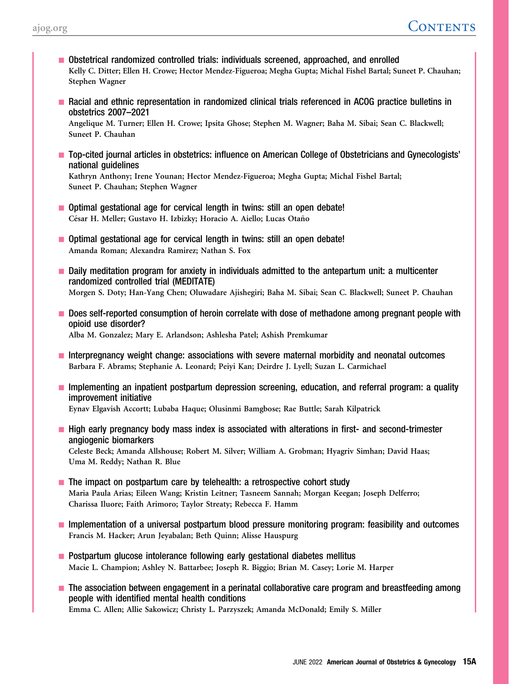- Obstetrical randomized controlled trials: individuals screened, approached, and enrolled Kelly C. Ditter; Ellen H. Crowe; Hector Mendez-Figueroa; Megha Gupta; Michal Fishel Bartal; Suneet P. Chauhan; Stephen Wagner
- **Racial and ethnic representation in randomized clinical trials referenced in ACOG practice bulletins in** obstetrics 2007–2021

Angelique M. Turner; Ellen H. Crowe; Ipsita Ghose; Stephen M. Wagner; Baha M. Sibai; Sean C. Blackwell; Suneet P. Chauhan

- Top-cited journal articles in obstetrics: influence on American College of Obstetricians and Gynecologists' national guidelines

Kathryn Anthony; Irene Younan; Hector Mendez-Figueroa; Megha Gupta; Michal Fishel Bartal; Suneet P. Chauhan; Stephen Wagner

- **Dependicies 1** Optimal gestational age for cervical length in twins: still an open debate! César H. Meller; Gustavo H. Izbizky; Horacio A. Aiello; Lucas Otaño
- Optimal gestational age for cervical length in twins: still an open debate! Amanda Roman; Alexandra Ramirez; Nathan S. Fox
- **Daily meditation program for anxiety in individuals admitted to the antepartum unit: a multicenter** randomized controlled trial (MEDITATE) Morgen S. Doty; Han-Yang Chen; Oluwadare Ajishegiri; Baha M. Sibai; Sean C. Blackwell; Suneet P. Chauhan
- Does self-reported consumption of heroin correlate with dose of methadone among pregnant people with opioid use disorder? Alba M. Gonzalez; Mary E. Arlandson; Ashlesha Patel; Ashish Premkumar
- **Interpregnancy weight change: associations with severe maternal morbidity and neonatal outcomes** Barbara F. Abrams; Stephanie A. Leonard; Peiyi Kan; Deirdre J. Lyell; Suzan L. Carmichael
- Implementing an inpatient postpartum depression screening, education, and referral program: a quality improvement initiative Eynav Elgavish Accortt; Lubaba Haque; Olusinmi Bamgbose; Rae Buttle; Sarah Kilpatrick
- **High early pregnancy body mass index is associated with alterations in first- and second-trimester** angiogenic biomarkers Celeste Beck; Amanda Allshouse; Robert M. Silver; William A. Grobman; Hyagriv Simhan; David Haas; Uma M. Reddy; Nathan R. Blue
- $\blacksquare$  The impact on postpartum care by telehealth: a retrospective cohort study Maria Paula Arias; Eileen Wang; Kristin Leitner; Tasneem Sannah; Morgan Keegan; Joseph Delferro; Charissa Iluore; Faith Arimoro; Taylor Streaty; Rebecca F. Hamm
- **I** Implementation of a universal postpartum blood pressure monitoring program: feasibility and outcomes Francis M. Hacker; Arun Jeyabalan; Beth Quinn; Alisse Hauspurg
- $\blacksquare$  Postpartum glucose intolerance following early gestational diabetes mellitus Macie L. Champion; Ashley N. Battarbee; Joseph R. Biggio; Brian M. Casey; Lorie M. Harper
- **The association between engagement in a perinatal collaborative care program and breastfeeding among** people with identified mental health conditions Emma C. Allen; Allie Sakowicz; Christy L. Parzyszek; Amanda McDonald; Emily S. Miller